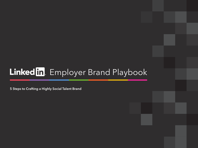# Linked in Employer Brand Playbook

5 Steps to Crafting a Highly Social Talent Brand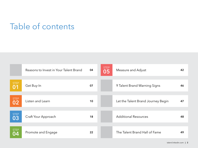### Table of contents

|                   | Reasons to Invest in Your Talent Brand | 04 | <b>STEP</b><br>05 | Measure and Adjust                 | 42 |
|-------------------|----------------------------------------|----|-------------------|------------------------------------|----|
|                   |                                        |    |                   |                                    |    |
| <b>STEP</b><br>01 | Get Buy-In                             | 07 |                   | 9 Talent Brand Warning Signs       | 46 |
|                   |                                        |    |                   |                                    |    |
| <b>STEP</b><br>02 | Listen and Learn                       | 10 |                   | Let the Talent Brand Journey Begin | 47 |
|                   |                                        |    |                   |                                    |    |
| <b>STEP</b><br>03 | Craft Your Approach                    | 18 |                   | <b>Additional Resources</b>        | 48 |
|                   |                                        |    |                   |                                    |    |
| <b>STEP</b><br>04 | Promote and Engage                     | 22 |                   | The Talent Brand Hall of Fame      | 49 |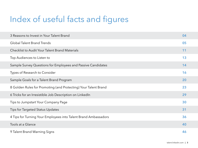# Index of useful facts and figures

| 3 Reasons to Invest in Your Talent Brand                        | 04 |
|-----------------------------------------------------------------|----|
| <b>Global Talent Brand Trends</b>                               | 05 |
| <b>Checklist to Audit Your Talent Brand Materials</b>           | 11 |
| Top Audiences to Listen to                                      | 13 |
| Sample Survey Questions for Employees and Passive Candidates    | 14 |
| Types of Research to Consider                                   | 16 |
| Sample Goals for a Talent Brand Program                         | 20 |
| 8 Golden Rules for Promoting (and Protecting) Your Talent Brand | 23 |
| 6 Tricks for an Irresistible Job Description on LinkedIn        | 29 |
| Tips to Jumpstart Your Company Page                             | 30 |
| Tips for Targeted Status Updates                                | 31 |
| 4 Tips for Turning Your Employees into Talent Brand Ambassadors | 36 |
| Tools at a Glance                                               | 40 |
| 9 Talent Brand Warning Signs                                    | 46 |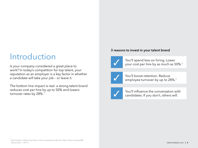### Introduction

Is your company considered a great place to work? In today's competition for top talent, your reputation as an employer is a key factor in whether a candidate will take your job – or leave it.

The bottom line impact is real: a strong talent brand reduces cost per hire by up to 50% and lowers turnover rates by 28%.<sup>1</sup>

### 3 reasons to invest in your talent brand



You'll spend less on hiring. Lower your cost per hire by as much as 50%.<sup>1</sup>



You'll boost retention. Reduce employee turnover by up to 28%.<sup>1</sup>



You'll influence the conversation with candidates. If you don't, others will.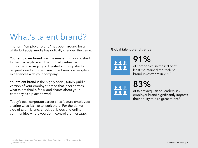### What's talent brand?

The term "employer brand" has been around for a while, but social media has radically changed the game.

Your **employer brand** was the messaging you pushed to the marketplace and periodically refreshed. Today that messaging is digested and amplified – or questioned aloud – in real time based on people's experiences with your company.

Your **talent brand** is the highly social, totally public version of your employer brand that incorporates what talent thinks, feels, and shares about your company as a place to work.

Today's best corporate career sites feature employees sharing what it's like to work there. For the darker side of talent brand, check out blogs and online communities where you don't control the message.

### Global talent brand trends



of companies increased or at least maintained their talent brand investment in 2012.



91%

of talent acquisition leaders say employer brand significantly impacts their ability to hire great talent.<sup>2</sup>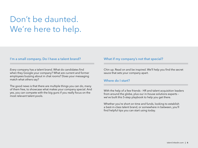### Don't be daunted. We're here to help.

#### I'm a small company. Do I have a talent brand?

Every company has a talent brand. What do candidates find when they Google your company? What are current and former employees buzzing about in chat rooms? Does your messaging match what others say?

The good news is that there are multiple things you can do, many of them free, to showcase what makes your company special. And yes, you can compete with the big guns if you really focus on the most relevant talent pools.

#### What if my company's not that special?

Chin up. Read on and be inspired. We'll help you find the secret sauce that sets your company apart.

#### Where do I start?

With the help of a few friends - HR and talent acquisition leaders from around the globe, plus our in-house solutions experts – we've built this 5-step playbook to help you get there.

Whether you're short on time and funds, looking to establish a best-in-class talent brand, or somewhere in between, you'll find helpful tips you can start using today.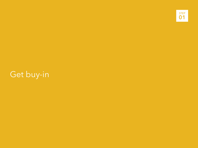

# Get buy-in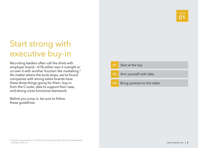### Start strong with executive buy-in

Recruiting leaders often call the shots with employer brand – 61% either own it outright or co-own it with another function like marketing.3 No matter where the buck stops, we've found companies with strong talent brands have these three things going for them: buy-in from the C-suite, data to support their case, and strong cross-functional teamwork.

Before you jump in, be sure to follow these guidelines.

|                 | 01 Start at the top         |
|-----------------|-----------------------------|
|                 | 02 Arm yourself with data   |
| 03 <sub>1</sub> | Bring partners to the table |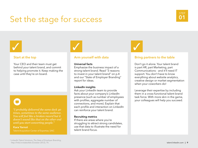### Set the stage for success

# STEP

# $\bigvee$

### Start at the top

Your CEO and their team must get behind your talent brand, and commit to helping promote it. Keep making the case until they're on board.

*"I probably delivered the same deck 40 times, sometimes to the same audience. You will feel like a broken record but it doesn't sound like that on the other end until you start converting people."*

### Kara Yarnot

### Arm yourself with data

#### Universal facts

 $\bigvee$ 

Emphasize the business impact of a strong talent brand. Read "3 reasons to invest in your talent brand" on p.4 and our "State of Employer Branding" report for ideas.

#### LinkedIn insights

Ask your LinkedIn team to provide facts about your company's LinkedIn presence (such as number of employees with profiles, aggregate number of connections, and more). Explain that each profile and interaction on LinkedIn can reinforce your talent brand.

#### Recruiting metrics

If there are areas where you're struggling to attract strong candidates, use that data to illustrate the need for talent brand focus.

 $\bigvee$ 

### Bring partners to the table

Don't go it alone. Your talent brand is part HR, part Marketing, part Communications - and it'll need IT support. You don't have to know everything about website analytics, creative design or market segmentation when your coworkers do!

Leverage their expertise by including them in a cross-functional talent brand task force. With more skin in the game, your colleagues will help you succeed.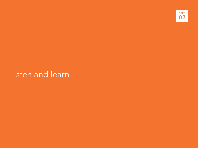

### Listen and learn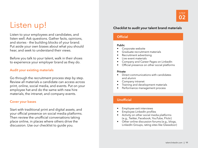

### Listen up!

Listen to your employees and candidates, and listen well. Ask questions. Gather facts, opinions, and stories - the building blocks of your brand. Put aside your own biases about what you should hear, and seek to understand their views.

Before you talk to your talent, walk in their shoes to experience your employer brand as they do.

#### Audit your existing materials

Go through the recruitment process step by step. Review all materials a candidate can access across print, online, social media, and events. Put on your employee hat and do the same with new hire materials, the intranet, and company events.

#### Cover your bases

Start with traditional print and digital assets, and your official presence on social media platforms. Then review the unofficial conversations taking place online, in places where others drive the discussion. Use our checklist to guide you.

#### Checklist to audit your talent brand materials

#### **Official**

#### Public

- Corporate website
- Graduate recruitment materials
- Recruitment advertising
- Live event materials
- Company and Career Pages on LinkedIn
- Official presence on other social platforms

#### Private

- Direct communications with candidates and alumni
- Company intranet
- Training and development materials
- Performance management process

#### Unofficial

- Employee exit interviews
- Employee LinkedIn profiles
- Activity on other social media platforms (e.g., Twitter, Facebook, YouTube, Flickr)
- Other online discussion forums (e.g., blogs, LinkedIn Groups, rating sites like Glassdoor)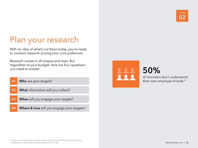

### Plan your research

With an idea of what's out there today, you're ready to conduct research among your core audiences.

Research comes in all shapes and sizes. But regardless of your budget, here are four questions you need to answer:

- **01** Who are your targets?
- 02 What information will you collect?
- **03** When will you engage your targets?
- **04** Where & how will you engage your targets?



### 50%

of recruiters don't understand their own employer brands.4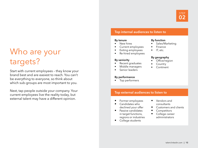

### Who are your targets?

Start with current employees – they know your brand best and are easiest to reach. You can't be everything to everyone, so think about which sub-groups are most important to you.

Next, tap people outside your company. Your current employees live the reality today, but external talent may have a different opinion.

### Top internal audiences to listen to

#### By tenure

- New hires
- Current employees
- Exiting employees
- Re-hired employees

#### By seniority

- Recent graduates
- Middle managers
- Senior leaders

#### By performance

• Top performers

### Top external audiences to listen to

- Former employees
- Candidates who declined your offer
- Passive candidates in target functions, regions or industries
- College students
- Vendors and consultants
- Customers and clients
- **Competitors**
- College career administrators
- 
- By function
- Sales/Marketing
- Finance
- $\bullet$  IT, etc.

#### By geography

- Office/region
- **Country**
- Continent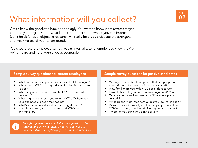## What information will you collect?

Get to know the good, the bad, and the ugly. You want to know what attracts target talent to your organization, what keeps them there, and where you can improve. Don't be defensive: objective research will really help you articulate the strengths and weaknesses of your talent brand.

You should share employee survey results internally, to let employees know they're being heard and hold yourselves accountable.



| Sample survey questions for current employees                                                                                                                                                                                                                                                                                                                                                                              | Sample survey questions for passive candidates                                                                                                                                                                                                                                                                                                                                                                                                                                                              |
|----------------------------------------------------------------------------------------------------------------------------------------------------------------------------------------------------------------------------------------------------------------------------------------------------------------------------------------------------------------------------------------------------------------------------|-------------------------------------------------------------------------------------------------------------------------------------------------------------------------------------------------------------------------------------------------------------------------------------------------------------------------------------------------------------------------------------------------------------------------------------------------------------------------------------------------------------|
| What are the most important values you look for in a job?<br>Where does XYZCo do a good job of delivering on these<br>values?<br>Which important values do you feel XYZCo does not<br>deliver on?<br>What originally attracted you to join XYZCo? Where have<br>your expectations been met/not met?<br>What's your favorite story about working at XYZCo?<br>How likely would you be to recommend XYZCo as<br>an employer? | When you think about companies that hire people with<br>your skill set, which companies come to mind?<br>How familiar are you with XYZCo as a place to work?<br>How likely would you be to consider a job at XYZCo?<br>What is your overall impression of XYZCo as a place<br>to work?<br>What are the most important values you look for in a job?<br>Based on your knowledge of the company, where does<br>XYZCo do a very good job delivering on these values?<br>Where do you think they don't deliver? |
| Look for opportunities to ask the same question to both<br>internal and external talent. That will allow you to                                                                                                                                                                                                                                                                                                            |                                                                                                                                                                                                                                                                                                                                                                                                                                                                                                             |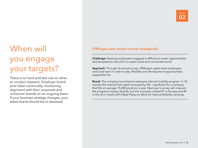### STEP 02

# When will you engage your targets?

There is no hard and fast rule on when to conduct research. Employer brand pros listen continually, monitoring alignment with their corporate and consumer brands on an ongoing basis. If your business strategy changes, your talent brand should be re-assessed.

### JPMorgan uses annual surveys strategically

Challenge: Keeping employees engaged is difficult as career opportunities and temptations abound in a super-social and connected world.

Approach: Through its annual survey, JPMorgan asked what employees need and want in order to stay. Mobility and development opportunities topped the list.

Result: The company launched an extensive internal mobility program. In 10 months the internal hire rated increased by 5% - significant for a company that fills on average 75,000 positions a year. Next year's survey will measure the program's impact directly, but the company ranked #1 in Europe and #2 in the US in Vault's 2013 Best Places to Work for Internal Mobility rankings.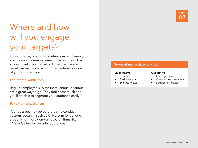

### Where and how will you engage your targets?

Focus groups, one-on-one interviews, and surveys are the most common research techniques. Hire a consultant if you can afford it, as people are usually more candid with someone from outside of your organization.

#### For internal audiences

Regular employee surveys (semi-annual or annual) are a great way to go. They don't cost much and you'll be able to segment your audience easily.

### For external audiences

Your best bet may be partners who conduct custom research, such as Universum for college students, or more general research firms like TNS or Gallup for broader audiences.

### Types of research to consider

#### **Quantitative**

- Surveys
- Attrition data
- Exit interviews

#### **Qualitative**

- Focus groups
- One-on-one interviews
- Suggestion boxes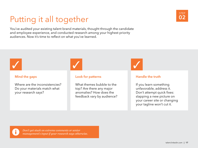### Putting it all together

You've audited your existing talent brand materials, thought through the candidate and employee experience, and conducted research among your highest priority audiences. Now it's time to reflect on what you've learned.



### Mind the gaps

Where are the inconsistencies? Do your materials match what your research says?

#### Look for patterns

What themes bubble to the top? Are there any major anomalies? How does the feedback vary by audience?

 $\sqrt{2}$ 

### Handle the truth

If you learn something unfavorable, address it. Don't attempt quick fixes: slapping a new picture on your career site or changing your tagline won't cut it.



*Don't get stuck on extreme comments or senior management's input if your research says otherwise.* STEP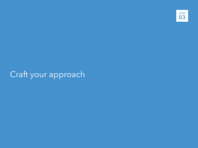

### Craft your approach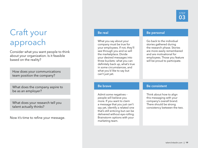

### Craft your approach

Consider what you want people to think about your organization. Is it feasible based on the reality?

How does your communications team position the company?

What does the company aspire to be as an employer?

What does your research tell you talent actually thinks?

Now it's time to refine your message.

#### Be real

What you say about your company must be true for your employees. If not, they'll see through you and so will the marketplace. Divide your desired messages into three buckets: what you can definitely back up, what's true in some circumstances, and what you'd like to say but can't just yet.

### Be personal

Go back to the individual stories gathered during the research phase. Stories are more easily remembered and are motivational for employees. Those you feature will be proud to participate.

#### Be brave

Admit some negatives – people will believe you more. If you want to claim a message that you just can't say yet, identify a related one that's still enticing but can be delivered without eye-rolling. Brainstorm options with your marketing team.

#### Be consistent

Think about how to align this messaging with your company's overall brand. There should be strong consistency between the two.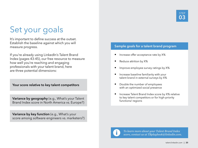### Set your goals

It's important to define success at the outset. Establish the baseline against which you will measure progress.

If you're already using LinkedIn's Talent Brand Index (pages 43-45), our free resource to measure how well you're reaching and engaging professionals with your talent brand, here are three potential dimensions:

Your score relative to key talent competitors

Variance by geography (e.g., What's your Talent Brand Index score in North America vs. Europe?)

Variance by key function (e.g., What's your score among software engineers vs. marketers?)

### Sample goals for a talent brand program

- Increase offer acceptance rate by X%
- Reduce attrition by X%
- Improve employee survey ratings by X%
- Increase baseline familiarity with your talent brand in external surveys by X%
- Double the number of employees with an optimized social presence
- Increase Talent Brand Index score by X% relative to key talent competitors or for high-priority functions/ regions



*To learn more about your Talent Brand Index score, contact us at TBplaybook@linkedin.com.*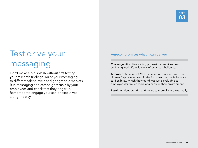### Test drive your messaging

Don't make a big splash without first testing your research findings. Tailor your messaging to different talent levels and geographic markets. Run messaging and campaign visuals by your employees and check that they ring true. Remember to engage your senior executives along the way.

### Aurecon promises what it can deliver

Challenge: At a client-facing professional services firm, achieving work-life balance is often a real challenge.

Approach: Aurecon's CMO Danielle Bond worked with her Human Capital team to shift the focus from work-life balance to "flexibility," which they found was just as valuable to employees but much more attainable in their environment.

Result: A talent brand that rings true, internally and externally.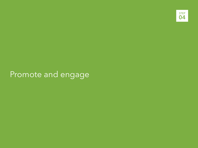

### Promote and engage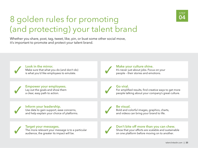

### 8 golden rules for promoting (and protecting) your talent brand

Whether you share, post, tag, tweet, like, pin, or bust some other social move, it's important to promote and protect your talent brand.

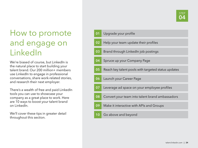### How to promote and engage on LinkedIn

We're biased of course, but LinkedIn is the natural place to start building your talent brand. Our 200 million+ members use LinkedIn to engage in professional conversations, share work-related stories, and research their next employer.

There's a wealth of free and paid LinkedIn tools you can use to showcase your company as a great place to work. Here are 10 ways to boost your talent brand on LinkedIn.

We'll cover these tips in greater detail throughout this section.

| 01 | Upgrade your profile                                |
|----|-----------------------------------------------------|
| 02 | Help your team update their profiles                |
| 03 | Brand through LinkedIn job postings                 |
| 04 | Spruce up your Company Page                         |
| 05 | Reach key talent pools with targeted status updates |
| 06 | Launch your Career Page                             |
| 07 | Leverage ad space on your employee profiles         |
| 08 | Convert your team into talent brand ambassadors     |
| 09 | Make it interactive with APIs and Groups            |
| 10 | Go above and beyond                                 |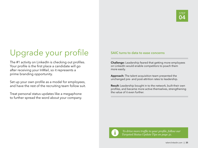### Upgrade your profile

The #1 activity on LinkedIn is checking out profiles. Your profile is the first place a candidate will go after receiving your InMail, so it represents a prime branding opportunity.

Set up your own profile as a model for employees, and have the rest of the recruiting team follow suit.

Treat personal status updates like a megaphone to further spread the word about your company.

#### SAIC turns to data to ease concerns

Challenge: Leadership feared that getting more employees on LinkedIn would enable competitors to poach them more easily.

Approach: The talent acquisition team presented the unchanged pre- and post-attrition rates to leadership.

Result: Leadership bought in to the network, built their own profiles, and became more active themselves, strengthening the value of it even further.



*To drive more traffic to your profile, follow our Targeted Status Update Tips on page 31.*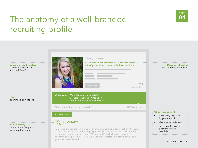### The anatomy of a well-branded recruiting profile



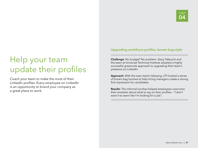### Help your team update their profiles

Coach your team to make the most of their LinkedIn profiles. Every employee on LinkedIn is an opportunity to brand your company as a great place to work.

### Upgrading workforce profiles, brown bag-style

Challenge: No budget? No problem. Stacy Takeuchi and the team at Universal Technical Institute adopted a highly successful grassroots approach to upgrading their team's presence on LinkedIn.

Approach: With the exec team's blessing, UTI hosted a series of brown bag lunches to help hiring managers create a strong first impression for candidates.

Results: The informal lunches helped employees overcome their anxieties about what to say on their profiles – "I don't want it to seem like I'm looking for a job".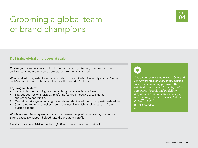### Grooming a global team of brand champions

### Dell trains global employees at scale

Challenge: Given the size and distribution of Dell's organization, Brent Amundson and his team needed to create a structured program to succeed.

What worked: They established a certification process (SMaC University - Social Media and Communication) to help employees talk about the Dell brand.

#### Key program features:

- Kick-off class introducing five overarching social media principles
- Strategy courses on individual platforms feature interactive case studies and scenario-specific tips
- Centralized storage of training materials and dedicated forum for questions/feedback
- Sponsored regional launches around the world in which employees learn from outside experts

Why it worked: Training was optional, but those who opted in had to stay the course. Strong executive support helped raise the program's profile.

Results: Since July 2010, more than 5,000 employees have been trained.

 $\blacksquare$ 

*"We empower our employees to be brand evangelists through our comprehensive social media training program. We help build our external brand by giving employees the tools and guidelines they need to communicate on behalf of the company. It's a lot of work, but the payoff is huge."*

Brent Amundson Dell

STEP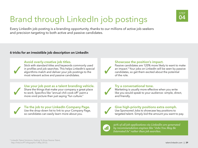## Brand through LinkedIn job postings

Every LinkedIn job posting is a branding opportunity, thanks to our millions of active job seekers and precision targeting to both active and passive candidates.

### 6 tricks for an irresistible job description on LinkedIn



*Interested In" rather than job searches.*

STEP 04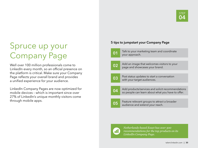### Spruce up your Company Page

Well over 100 million professionals come to LinkedIn every month, so an official presence on the platform is critical. Make sure your Company Page reflects your overall brand and provides a unified experience for your audience.

LinkedIn Company Pages are now optimized for mobile devices – which is important since over 27% of LinkedIn's unique monthly visitors come through mobile apps.

### 5 tips to jumpstart your Company Page



**01** Talk to your marketing team and coordinate vour approach.

**02** Add an image that welcomes visitors to your page and showcases your brand.

- **03** Post status updates to start a conversation with your target audiences.
- **04** Add products/services and solicit recommendations so people can learn about what you have to offer.
- **05** Feature relevant groups to attract a broader audience and extend your reach.



*Netherlands-based Exact has over 300 recommendations for the top products on its LinkedIn Company Page.*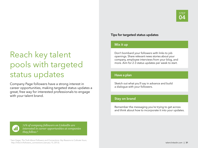### Reach key talent pools with targeted status updates

Company Page followers have a strong interest in career opportunities, making targeted status updates a great, free way for interested professionals to engage with your talent brand.

### Tips for targeted status updates

### Mix it up

Don't bombard your followers with links to job openings. Share relevant news stories about your company, employee interviews from your blog, and more. Aim for 2-3 status updates per week to start.

#### Have a plan

Sketch out what you'll say in advance and build a dialogue with your followers.

### Stay on brand

Remember the messaging you're trying to get across and think about how to incorporate it into your updates.



*71% of company followers on LinkedIn are interested in career opportunities at companies they follow.6*

<sup>6</sup> Sam Gager, The Truth About Followers and Connections: Key Reasons to Cultivate Yours, http://lnkd.in/followers\_connections (January 15, 2013).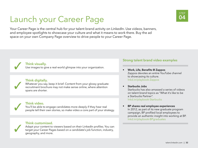## Launch your Career Page



Your Career Page is the central hub for your talent brand activity on LinkedIn. Use videos, banners, and employee spotlights to showcase your culture and what it means to work there. Buy the ad space on your own Company Page overview to drive people to your Career Page.

**Think visually.**<br>Use images to give a real-world glimpse into your organization.

### Think digitally.

Whatever you say, keep it brief. Content from your glossy graduate<br>recruitment brochure may not make sense online, where attention spans are shorter.

### Think video.

You'll be able to engage candidates more deeply if they hear real<br> people tell their own stories, so make video a core part of your strategy.

### Think customized.

Adapt your content to viewers based on their LinkedIn profiles. You can target your Career Pages based on a candidate's job function, industry, geography, and more.

### Strong talent brand video examples

- Work, Life, Benefits @ Zappos Zappos devotes an entire YouTube channel to showcasing its culture. lnkd.in/playbook-Zappos
	- Starbucks Jobs Starbucks has also amassed a series of videos on talent brand topics as "What it's like to be a Starbucks Partner". lnkd.in/playbook-Starbucks

#### • BP shares real employee experiences In 2012, as part of its new graduate program campaign, BP profiled local employees to provide an authentic insight into working at BP. lnkd.in/playbook-BPgraduates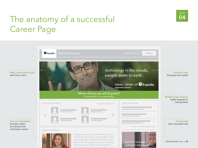### The anatomy of a successful and  $\frac{04}{1}$ Career Page



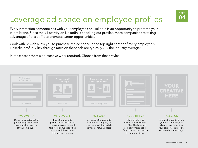### STEP 04

## Leverage ad space on employee profiles

Every interaction someone has with your employees on LinkedIn is an opportunity to promote your talent brand. Since the #1 activity on LinkedIn is checking out profiles, more companies are taking advantage of this traffic to promote career opportunities.

Work with Us Ads allow you to purchase the ad space in the top right corner of every employee's LinkedIn profile. Click-through rates on these ads are typically 20x the industry average!

In most cases there's no creative work required. Choose from these styles:

| Work with us<br>at Company X<br>Apply Now                                                          | Picture yourself<br>at Company X<br>View Jobs                                                                                                                      | Grow your career by<br>following Company X<br>Follow Company X                                             |                                                                                                                                                | <b>CREATIVE</b><br>HERE                                                                                                                |
|----------------------------------------------------------------------------------------------------|--------------------------------------------------------------------------------------------------------------------------------------------------------------------|------------------------------------------------------------------------------------------------------------|------------------------------------------------------------------------------------------------------------------------------------------------|----------------------------------------------------------------------------------------------------------------------------------------|
|                                                                                                    |                                                                                                                                                                    |                                                                                                            |                                                                                                                                                |                                                                                                                                        |
| "Work With Us"                                                                                     | "Picture Yourself"                                                                                                                                                 | "Follow Us"                                                                                                | "Internal Hiring"                                                                                                                              | <b>Custom Ads</b>                                                                                                                      |
| Display a targeted set of<br>job openings every time<br>someone looks at one<br>of your employees. | Invite the viewer to<br>picture themselves at the<br>company - complete with<br>targeted job function, their<br>picture, and the option to<br>follow your company. | Encourage the viewer to<br>follow your company so<br>they can stay informed via<br>company status updates. | Many employees<br>look at their coworkers'<br>profiles. Get branded<br>company messages in<br>front of your own people<br>for internal hiring. | Show a branded ad with<br>your look and feel, that<br>directs people back to<br>your corporate career site<br>or LinkedIn Career Page. |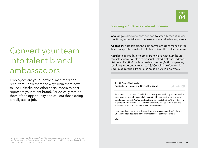

### Convert your team into talent brand ambassadors

Employees are your unofficial marketers and recruiters. Show them the way! Train them how to use LinkedIn and other social media to best represent your talent brand. Periodically remind them of the opportunity and call out those doing a really stellar job.

### Spurring a 60% sales referral increase

Challenge: salesforce.com needed to steadily recruit across functions, especially account executives and sales engineers.

Approach: Kate Israels, the company's program manager for Talent Acquisition, asked CEO Marc Benioff to rally the team.

Results: Inspired by one email from Marc, within 24 hours the sales team doubled their usual LinkedIn status updates, visible to 159,000 professionals at over 40,000 companies, resulting in potential reach to 38,000 sales professionals. Employee referrals from Sales spiked 60% in one week.7

**To:** All Sales Worldwide **Subject:** Get Social and Spread the Word



As we work to become a \$10 billion company, we need to grow our worldclass sales team–and you can help us do that by connecting us to amazing people like yourself. We've put together a few posts that we'd love for you to share with your networks. This is a great way for you to help us build our first-rate team and receive a nice referral bonus

Sample update: I'm in my #dreamjob at salesforce.com and we're hiring! Check out open positions here: www.salesforce.com/careers/sales/

Marc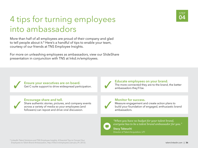### 4 tips for turning employees into ambassadors

More than half of all employees are proud of their company and glad to tell people about it.<sup>8</sup> Here's a handful of tips to enable your team, courtesy of our friends at TNS Employee Insights.

For more on unleashing employees as ambassadors, view our SlideShare presentation in conjunction with TNS at lnkd.in/employees.

**Ensure your executives are on board.** Get C-suite support to drive widespread participation.

#### Encourage share and tell.

Share authentic stories, pictures, and company events across a variety of media so your employees (and followers) can repost and drive viral discussion.



### Educate employees on your brand.

The more connected they are to the brand, the better ambassadors they'll be.

#### Monitor for success.

Measure engagement and create action plans to build your foundation of engaged, enthusiastic brand ambassadors.



*"When you have no budget for your talent brand, everyone has to be a talent brand ambassador for you."* Stacy Takeuchi

Director of Talent Acquisition, UTI



<sup>8</sup> LinkedIn Talent Solutions and TNS Employee Insights, 4 Essential Tips to Convert Your Employees to Talent Brand Ambassadors, http://lnkd.in/employees (January 29, 2012).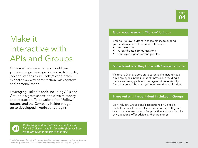### Make it interactive with APIs and Groups

Gone are the days when you could push your campaign message out and watch quality job applications fly in. Today's candidates expect a two-way conversation, with context and personalization.

Leveraging LinkedIn tools including APIs and Groups is a great shortcut to drive relevancy and interaction. To download free "Follow" buttons and the Company Insider widget, go to developer.linkedin.com/plugins.



*Embedding 'Follow' buttons in smart places helped Unilever grow its LinkedIn follower base from 40K to 235K in just 10 months.9*

### Grow your base with "Follow" buttons

Embed "Follow" buttons in these places to expand your audience and drive social interaction:

- Your website
- All candidate communications
- Employee signatures and profiles

#### Show talent who they know with Company Insider

Visitors to Disney's corporate careers site instantly see any employees in their LinkedIn network, providing a more welcoming path into the organization. A friendly face may be just the thing you need to drive applications.

#### Hang out with target talent in LinkedIn Groups

Join industry Groups and associations on LinkedIn and other social media. Divide and conquer with your team to cover key groups. Be proactive and thoughtful – ask questions, offer advice, and share stories.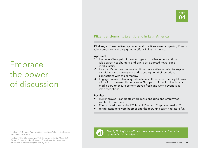### Embrace the power of discussion

#### 10 LinkedIn, InDemand Employer Rankings, http://talent.linkedin.com/ indemand (October 2012).

<sup>11</sup> LinkedIn Talent Solutions and TNS Employee Insights, 4 Essential Tips to Convert Your Employees to Talent Brand Ambassadors, http://lnkd.in/employees (January 29, 2012).

### Pfizer transforms its talent brand in Latin America

Challenge: Conservative reputation and practices were hampering Pfizer's talent attraction and engagement efforts in Latin America.

#### Approach:

- 1. Innovate: Changed mindset and gave up reliance on traditional job boards, headhunters, and print ads; adopted newer social media tactics.
- 2. Expose: Made the company's culture more visible in order to inspire candidates and employees, and to strengthen their emotional connections with the company.
- 3. Engage: Trained talent acquisition team in three social media platforms, with a focus on establishing career Groups on LinkedIn. Hired social media guru to ensure content stayed fresh and went beyond just job descriptions.

#### Results:

- ROI improved candidates were more engaged and employees wanted to stay more.
- Efforts contributed to its #21 Most InDemand Employer ranking.<sup>10</sup>
- Hiring managers were happier and the recruiting team had more fun!



*Nearly 80% of LinkedIn members want to connect with the companies in their lives.11*

STEF 04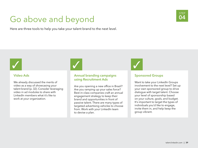### Go above and beyond

Here are three tools to help you take your talent brand to the next level.



#### Video Ads

We already discussed the merits of video as a way of showcasing your talent brand (p. 32). Consider leveraging video in ad modules to share with LinkedIn members what it's like to work at your organization.

 $\bigvee$ 

### Annual branding campaigns using Recruitment Ads

Are you opening a new office in Brazil? Are you ramping up your sales force? Best-in-class companies craft an annual engagement strategy to keep their brand and opportunities in front of passive talent. There are many types of targeted advertising vehicles to choose from. Work with your LinkedIn team to devise a plan.

 $\bigvee$ 

### Sponsored Groups

Want to take your LinkedIn Groups involvement to the next level? Set up your own sponsored group to drive dialogue with target talent. Choose your level of sponsorship based on your culture, goals, and budget. It's important to target the types of individuals you'd like to engage, invite them in, and help keep the group vibrant.

STEP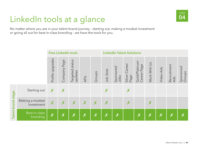### LinkedIn tools at a glance and the set of

No matter where you are in your talent brand journey – starting out, making a modest investment or going all out for best-in-class branding – we have the tools for you.

|        |                               |                           | <b>Free LinkedIn tools</b> |                               |      |                         | <b>LinkedIn Talent Solutions</b> |                   |                          |                              |                         |                  |                           |                     |
|--------|-------------------------------|---------------------------|----------------------------|-------------------------------|------|-------------------------|----------------------------------|-------------------|--------------------------|------------------------------|-------------------------|------------------|---------------------------|---------------------|
|        |                               | Profile upgrades          | Company Page               | status<br>Targeted<br>updates | APIs | Groups                  | Job Slots                        | Sponsored<br>Jobs | Career<br>Silver<br>Page | Gold/Platinum<br>Career Page | Work With Us            | Video Ads        | Recruitment<br>Ads        | Sponsored<br>Groups |
| stage  | Starting out                  | X                         | X                          |                               |      |                         | X                                |                   | X                        |                              |                         |                  |                           |                     |
| brand  | Making a modest<br>investment | $\boldsymbol{X}$          | X                          | X                             | X    | X                       | X                                |                   | X                        |                              | X                       |                  |                           |                     |
| Talent | Best-in-class<br>branding     | $\boldsymbol{\mathsf{X}}$ | $\boldsymbol{X}$           | $\boldsymbol{\mathsf{X}}$     | X    | $\overline{\mathsf{x}}$ | $\overline{\mathsf{x}}$          | X                 |                          | $\boldsymbol{\mathsf{X}}$    | $\overline{\mathsf{X}}$ | $\boldsymbol{X}$ | $\boldsymbol{\mathsf{X}}$ |                     |

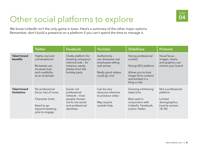

### Other social platforms to explore **04**

We know LinkedIn isn't the only game in town. Here's a summary of the other major options. Remember, don't build a presence on a platform if you can't spend the time to manage it.

|                                    | <b>Twitter</b>                                                                                                 | <b>Facebook</b>                                                                                                        | <b>YouTube</b>                                                                                                   | <b>SlideShare</b>                                                                                                                    | <b>Pinterest</b>                                                                       |
|------------------------------------|----------------------------------------------------------------------------------------------------------------|------------------------------------------------------------------------------------------------------------------------|------------------------------------------------------------------------------------------------------------------|--------------------------------------------------------------------------------------------------------------------------------------|----------------------------------------------------------------------------------------|
| <b>Talent brand</b><br>benefits    | Highly viral and<br>conversational<br>Re-tweets can<br>increase trust<br>and credibility<br>as an employer     | Chatty platform for<br>showing company's<br>informal side - for<br>instance, wacky<br>photos from the<br>holiday party | Authenticity -<br>can showcase real<br>employees telling<br>real stories<br>Really good videos<br>could go viral | Strong professional<br>context<br>Strong SEO platform<br>Allows you to host<br>longer-form content<br>and embed in a<br>blog or site | Visual focus -<br>images, charts,<br>and graphics can<br>enliven your brand            |
| <b>Talent brand</b><br>limitations | No professional<br>focus; lots of noise<br>Character limits<br>Need to go<br>beyond tweeting<br>jobs to engage | Social, not<br>professional<br>network - most<br>people choose<br>not to mix social<br>and professional<br>identities  | Can be very<br>resource-intensive<br>to produce video<br>May require<br>outside help                             | Growing a following<br>takes time<br>Best used in<br>conjunction with<br>LinkedIn, Facebook,<br>and/or Twitter                       | Not a professional<br>platform<br>Limited<br>demographics<br>(mainly women<br>$18-34)$ |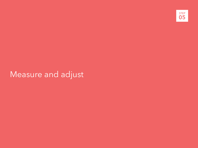

### Measure and adjust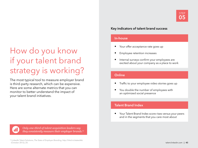### How do you know if your talent brand strategy is working?

The most typical tool to measure employer brand is third-party research, which can be expensive. Here are some alternate metrics that you can monitor to better understand the impact of your talent brand initiatives.

### Key indicators of talent brand success

#### In-house

- Your offer acceptance rate goes up
- Employee retention increases
- Internal surveys confirm your employees are excited about your company as a place to work

### **Online**

- Traffic to your employee video stories goes up
- You double the number of employees with an optimized social presence

### Talent Brand Index

• Your Talent Brand Index score rises versus your peers and in the segments that you care most about



*Only one-third of talent acquisition leaders say they consistently measure their employer brands.12*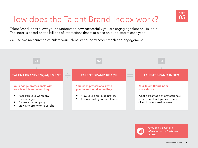### How does the Talent Brand Index work?

Talent Brand Index allows you to understand how successfully you are engaging talent on LinkedIn. The index is based on the billions of interactions that take place on our platform each year.

We use two measures to calculate your Talent Brand Index score: reach and engagement.





*There were 15 billion interactions on LinkedIn in 2012.*

STEP 05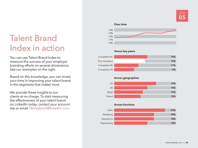### Talent Brand Index in action

You can use Talent Brand Index to measure the success of your employer branding efforts on several dimensions. See our examples on the right.

Based on this knowledge, you can invest your time in improving your talent brand in the segments that matter most.

We provide these insights to our clients at no charge. To start measuring the effectiveness of your talent brand on LinkedIn today, contact your account rep or email TBplaybook@linkedin.com.

#### Over time



#### Versus key peers



#### Across geographies



#### Across functions

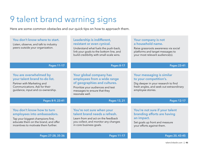### 9 talent brand warning signs

Here are some common obstacles and our quick tips on how to approach them.

| You don't know where to start.<br>Listen, observe, and talk to industry<br>peers outside your organization.                                                                    | Leadership is indifferent,<br>resistant or even cynical.<br>Understand what fuels the push-back,<br>link your goals to the bottom line, and<br>build credibility with small-scale wins. | Your company is not<br>a household name.<br>Raise grassroots awareness via social<br>platforms and target messages to<br>your most relevant audience(s).    |
|--------------------------------------------------------------------------------------------------------------------------------------------------------------------------------|-----------------------------------------------------------------------------------------------------------------------------------------------------------------------------------------|-------------------------------------------------------------------------------------------------------------------------------------------------------------|
| <b>Pages 11-17</b>                                                                                                                                                             | <b>Pages 8-17</b>                                                                                                                                                                       | <b>Pages 23-41</b>                                                                                                                                          |
| You are overwhelmed by<br>your talent brand to-do list.<br>Partner with Marketing and<br>Communications. Ask for their<br>guidance, input and co-ownership.                    | Your global company has<br>employees from a wide range<br>of geographies and cultures.<br>Prioritize your audiences and test<br>messages to ensure that they<br>resonate well.          | Your messaging is similar<br>to your competition's.<br>Dig deeper in your research to find<br>fresh angles, and seek out extraordinary<br>employee stories. |
| Pages 8-9, 23-41                                                                                                                                                               | Pages 13, 21                                                                                                                                                                            | <b>Pages 12-17</b>                                                                                                                                          |
| You don't know how to turn<br>employees into ambassadors.<br>Tap your biggest champions first,<br>educate them on the brand, and offer<br>incentives to motivate them further. | You're not sure when your<br>talent brand needs a refresh.<br>Learn from and act on the feedback<br>you collect, and monitor any changes<br>in core business goals.                     | You're not sure if your talent<br>branding efforts are having<br>an impact.<br>Set goals up front and measure<br>your efforts against them.                 |
| Pages 27-28, 35-36                                                                                                                                                             | <b>Pages 11-17</b>                                                                                                                                                                      | Pages 20, 43-45                                                                                                                                             |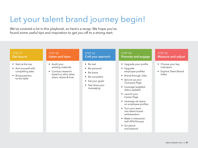### Let your talent brand journey begin!

We've covered a lot in this playbook, so here's a recap. We hope you've found some useful tips and inspiration to get you off to a strong start.

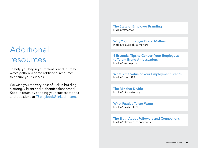### Additional resources

To help you begin your talent brand journey, we've gathered some additional resources to ensure your success.

We wish you the very best of luck in building a strong, vibrant and authentic talent brand! Keep in touch by sending your success stories and questions to TBplaybook@linkedin.com.

The State of Employer Branding lnkd.in/stateofeb

Why Your Employer Brand Matters lnkd.in/playbook-EBmatters

4 Essential Tips to Convert Your Employees to Talent Brand Ambassadors lnkd.in/employees

What's the Value of Your Employment Brand? lnkd.in/valueofEB

The Mindset Divide lnkd.in/mindset-study

What Passive Talent Wants lnkd.in/playbook-PT

The Truth About Followers and Connections lnkd.in/followers\_connections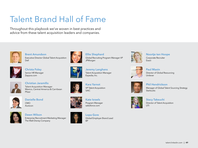### Talent Brand Hall of Fame

Throughout this playbook we've woven in best practices and advice from these talent acquisition leaders and companies.



Brent Amundson Executive Director Global Talent Acquisition Dell



Christa Foley Senior HR Manager Zappos.com



Christian Jaramillo Talent Acquisition Manager Mexico, Central America & Carribean Pfizer



Danielle Bond CMO Aurecon



Dawn Wilson Enterprise Recruitment Marketing Manager The Walt Disney Company



Ellie Shephard Global Recruiting Program Manager VP **JPMorgan** 



Jeremy Langhans Talent Acquisition Manager Expedia, Inc.

Kara Yarnot VP Talent Acquisition **SAIC** 



Kate Israels Program Manager salesforce.com



Lopa Gore Global Employer Brand Lead BP



Noortje ten Hoope Corporate Recruiter Exact



Paul Maxin Director of Global Resourcing Unilever



Phil Hendrickson Manager of Global Talent Sourcing Strategy **Starbucks** 



Stacy Takeuchi Director of Talent Acquisition UTI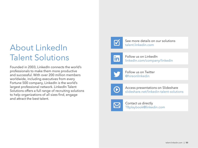### About LinkedIn Talent Solutions

Founded in 2003, LinkedIn connects the world's professionals to make them more productive and successful. With over 200 million members worldwide, including executives from every Fortune 500 company, LinkedIn is the world's largest professional network. LinkedIn Talent Solutions offers a full range of recruiting solutions to help organizations of all sizes find, engage and attract the best talent.



See more details on our solutions<br>
talent.linkedin.com



Follow us on LinkedIn linkedin.com/company/linkedin



Follow us on Twitter @hireonlinkedin



Access presentations on Slideshare slideshare.net/linkedin-talent-solutions



Contact us directly TBplaybook@linkedin.com